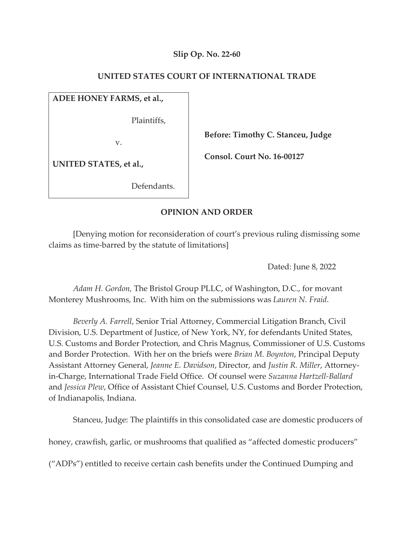## **Slip Op. No. 22-60**

## **UNITED STATES COURT OF INTERNATIONAL TRADE**

## **ADEE HONEY FARMS, et al.,**

Plaintiffs,

v.

 **Before: Timothy C. Stanceu, Judge** 

**UNITED STATES, et al.,** 

Defendants.

 **Consol. Court No. 16-00127** 

# **OPINION AND ORDER**

[Denying motion for reconsideration of court's previous ruling dismissing some claims as time-barred by the statute of limitations]

Dated: June 8, 2022

*Adam H. Gordon,* The Bristol Group PLLC, of Washington, D.C., for movant Monterey Mushrooms, Inc. With him on the submissions was *Lauren N. Fraid*.

*Beverly A. Farrell*, Senior Trial Attorney, Commercial Litigation Branch, Civil Division, U.S. Department of Justice, of New York, NY, for defendants United States, U.S. Customs and Border Protection, and Chris Magnus, Commissioner of U.S. Customs and Border Protection. With her on the briefs were *Brian M. Boynton*, Principal Deputy Assistant Attorney General, *Jeanne E. Davidson*, Director, and *Justin R. Miller*, Attorneyin-Charge, International Trade Field Office. Of counsel were *Suzanna Hartzell-Ballard* and *Jessica Plew*, Office of Assistant Chief Counsel, U.S. Customs and Border Protection, of Indianapolis, Indiana.

Stanceu, Judge: The plaintiffs in this consolidated case are domestic producers of

honey, crawfish, garlic, or mushrooms that qualified as "affected domestic producers"

("ADPs") entitled to receive certain cash benefits under the Continued Dumping and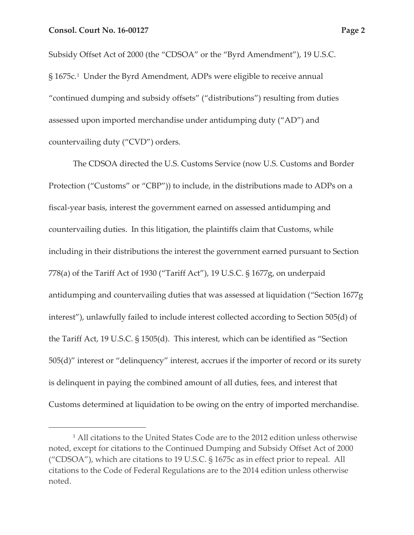Subsidy Offset Act of 2000 (the "CDSOA" or the "Byrd Amendment"), 19 U.S.C. § 1675c.1 Under the Byrd Amendment, ADPs were eligible to receive annual "continued dumping and subsidy offsets" ("distributions") resulting from duties assessed upon imported merchandise under antidumping duty ("AD") and countervailing duty ("CVD") orders.

The CDSOA directed the U.S. Customs Service (now U.S. Customs and Border Protection ("Customs" or "CBP")) to include, in the distributions made to ADPs on a fiscal-year basis, interest the government earned on assessed antidumping and countervailing duties. In this litigation, the plaintiffs claim that Customs, while including in their distributions the interest the government earned pursuant to Section 778(a) of the Tariff Act of 1930 ("Tariff Act"), 19 U.S.C. § 1677g, on underpaid antidumping and countervailing duties that was assessed at liquidation ("Section 1677g interest"), unlawfully failed to include interest collected according to Section 505(d) of the Tariff Act, 19 U.S.C. § 1505(d). This interest, which can be identified as "Section 505(d)" interest or "delinquency" interest, accrues if the importer of record or its surety is delinquent in paying the combined amount of all duties, fees, and interest that Customs determined at liquidation to be owing on the entry of imported merchandise.

<sup>&</sup>lt;sup>1</sup> All citations to the United States Code are to the 2012 edition unless otherwise noted, except for citations to the Continued Dumping and Subsidy Offset Act of 2000 ("CDSOA"), which are citations to 19 U.S.C. § 1675c as in effect prior to repeal. All citations to the Code of Federal Regulations are to the 2014 edition unless otherwise noted.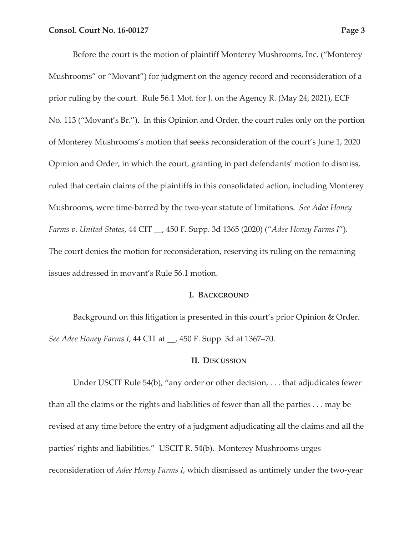Before the court is the motion of plaintiff Monterey Mushrooms, Inc. ("Monterey Mushrooms" or "Movant") for judgment on the agency record and reconsideration of a prior ruling by the court. Rule 56.1 Mot. for J. on the Agency R. (May 24, 2021), ECF No. 113 ("Movant's Br."). In this Opinion and Order, the court rules only on the portion of Monterey Mushrooms's motion that seeks reconsideration of the court's June 1, 2020 Opinion and Order, in which the court, granting in part defendants' motion to dismiss, ruled that certain claims of the plaintiffs in this consolidated action, including Monterey Mushrooms, were time-barred by the two-year statute of limitations. *See Adee Honey Farms v. United States*, 44 CIT \_\_, 450 F. Supp. 3d 1365 (2020) ("*Adee Honey Farms I*"). The court denies the motion for reconsideration, reserving its ruling on the remaining issues addressed in movant's Rule 56.1 motion.

### **I. BACKGROUND**

Background on this litigation is presented in this court's prior Opinion & Order. *See Adee Honey Farms I*, 44 CIT at \_\_, 450 F. Supp. 3d at 1367–70.

### **II. DISCUSSION**

Under USCIT Rule 54(b), "any order or other decision, . . . that adjudicates fewer than all the claims or the rights and liabilities of fewer than all the parties . . . may be revised at any time before the entry of a judgment adjudicating all the claims and all the parties' rights and liabilities." USCIT R. 54(b). Monterey Mushrooms urges reconsideration of *Adee Honey Farms I*, which dismissed as untimely under the two-year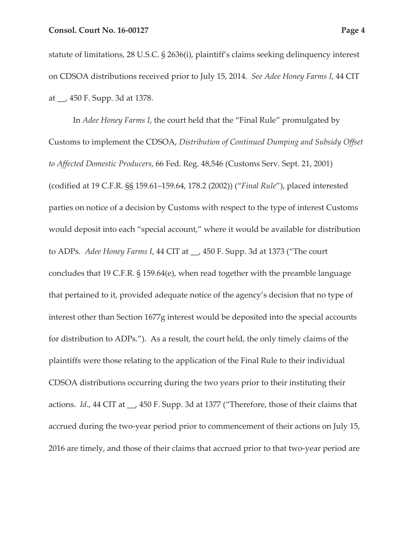statute of limitations, 28 U.S.C. § 2636(i), plaintiff's claims seeking delinquency interest on CDSOA distributions received prior to July 15, 2014. *See Adee Honey Farms I*, 44 CIT at \_\_, 450 F. Supp. 3d at 1378.

In *Adee Honey Farms I*, the court held that the "Final Rule" promulgated by Customs to implement the CDSOA, *Distribution of Continued Dumping and Subsidy Offset to Affected Domestic Producers*, 66 Fed. Reg. 48,546 (Customs Serv. Sept. 21, 2001) (codified at 19 C.F.R. §§ 159.61–159.64, 178.2 (2002)) ("*Final Rule*"), placed interested parties on notice of a decision by Customs with respect to the type of interest Customs would deposit into each "special account," where it would be available for distribution to ADPs. *Adee Honey Farms I*, 44 CIT at \_\_, 450 F. Supp. 3d at 1373 ("The court concludes that 19 C.F.R. § 159.64(e), when read together with the preamble language that pertained to it, provided adequate notice of the agency's decision that no type of interest other than Section 1677g interest would be deposited into the special accounts for distribution to ADPs."). As a result, the court held, the only timely claims of the plaintiffs were those relating to the application of the Final Rule to their individual CDSOA distributions occurring during the two years prior to their instituting their actions. *Id*., 44 CIT at \_\_, 450 F. Supp. 3d at 1377 ("Therefore, those of their claims that accrued during the two-year period prior to commencement of their actions on July 15, 2016 are timely, and those of their claims that accrued prior to that two-year period are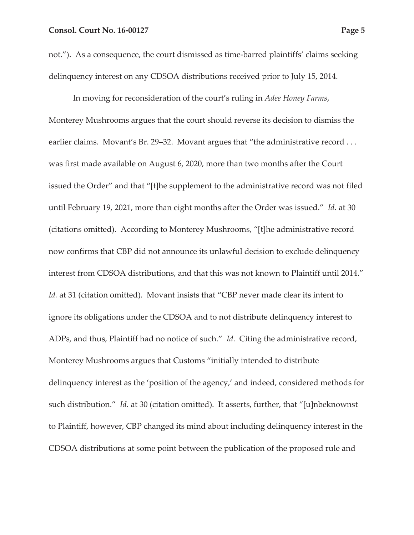not."). As a consequence, the court dismissed as time-barred plaintiffs' claims seeking delinquency interest on any CDSOA distributions received prior to July 15, 2014.

In moving for reconsideration of the court's ruling in *Adee Honey Farms*, Monterey Mushrooms argues that the court should reverse its decision to dismiss the earlier claims. Movant's Br. 29–32. Movant argues that "the administrative record ... was first made available on August 6, 2020, more than two months after the Court issued the Order" and that "[t]he supplement to the administrative record was not filed until February 19, 2021, more than eight months after the Order was issued." *Id.* at 30 (citations omitted). According to Monterey Mushrooms, "[t]he administrative record now confirms that CBP did not announce its unlawful decision to exclude delinquency interest from CDSOA distributions, and that this was not known to Plaintiff until 2014." *Id.* at 31 (citation omitted). Movant insists that "CBP never made clear its intent to ignore its obligations under the CDSOA and to not distribute delinquency interest to ADPs, and thus, Plaintiff had no notice of such." *Id*. Citing the administrative record, Monterey Mushrooms argues that Customs "initially intended to distribute delinquency interest as the 'position of the agency,' and indeed, considered methods for such distribution." *Id*. at 30 (citation omitted). It asserts, further, that "[u]nbeknownst to Plaintiff, however, CBP changed its mind about including delinquency interest in the CDSOA distributions at some point between the publication of the proposed rule and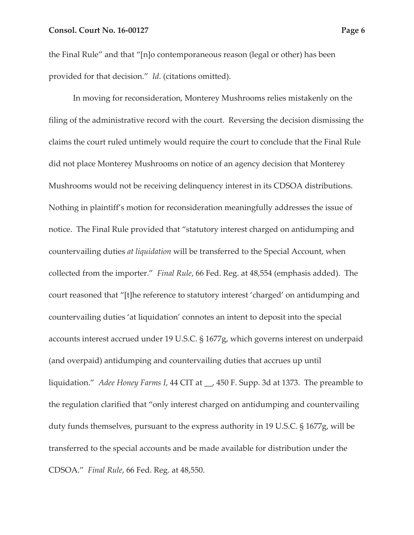the Final Rule" and that "[n]o contemporaneous reason (legal or other) has been provided for that decision." *Id*. (citations omitted).

In moving for reconsideration, Monterey Mushrooms relies mistakenly on the filing of the administrative record with the court. Reversing the decision dismissing the claims the court ruled untimely would require the court to conclude that the Final Rule did not place Monterey Mushrooms on notice of an agency decision that Monterey Mushrooms would not be receiving delinquency interest in its CDSOA distributions. Nothing in plaintiff's motion for reconsideration meaningfully addresses the issue of notice. The Final Rule provided that "statutory interest charged on antidumping and countervailing duties *at liquidation* will be transferred to the Special Account, when collected from the importer." *Final Rule*, 66 Fed. Reg. at 48,554 (emphasis added). The court reasoned that "[t]he reference to statutory interest 'charged' on antidumping and countervailing duties 'at liquidation' connotes an intent to deposit into the special accounts interest accrued under 19 U.S.C. § 1677g, which governs interest on underpaid (and overpaid) antidumping and countervailing duties that accrues up until liquidation." *Adee Honey Farms I*, 44 CIT at \_\_, 450 F. Supp. 3d at 1373. The preamble to the regulation clarified that "only interest charged on antidumping and countervailing duty funds themselves, pursuant to the express authority in 19 U.S.C. § 1677g, will be transferred to the special accounts and be made available for distribution under the CDSOA." *Final Rule*, 66 Fed. Reg. at 48,550.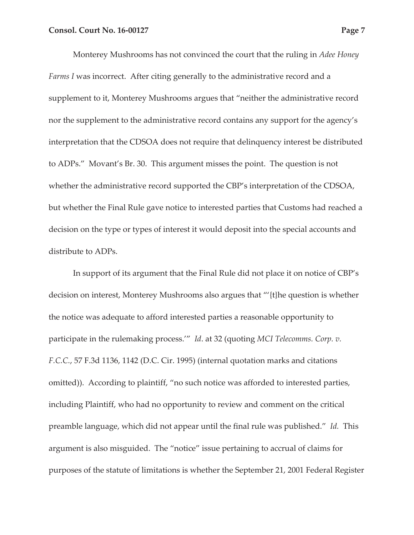Monterey Mushrooms has not convinced the court that the ruling in *Adee Honey Farms I* was incorrect. After citing generally to the administrative record and a supplement to it, Monterey Mushrooms argues that "neither the administrative record nor the supplement to the administrative record contains any support for the agency's interpretation that the CDSOA does not require that delinquency interest be distributed to ADPs." Movant's Br. 30. This argument misses the point. The question is not whether the administrative record supported the CBP's interpretation of the CDSOA, but whether the Final Rule gave notice to interested parties that Customs had reached a decision on the type or types of interest it would deposit into the special accounts and distribute to ADPs.

In support of its argument that the Final Rule did not place it on notice of CBP's decision on interest, Monterey Mushrooms also argues that "'{t}he question is whether the notice was adequate to afford interested parties a reasonable opportunity to participate in the rulemaking process.'" *Id*. at 32 (quoting *MCI Telecomms. Corp. v. F.C.C.*, 57 F.3d 1136, 1142 (D.C. Cir. 1995) (internal quotation marks and citations omitted)). According to plaintiff, "no such notice was afforded to interested parties, including Plaintiff, who had no opportunity to review and comment on the critical preamble language, which did not appear until the final rule was published." *Id.* This argument is also misguided. The "notice" issue pertaining to accrual of claims for purposes of the statute of limitations is whether the September 21, 2001 Federal Register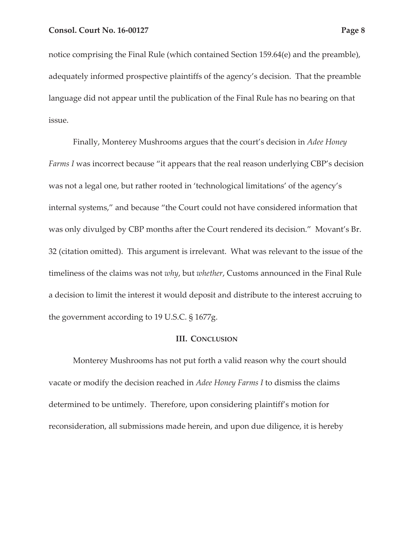notice comprising the Final Rule (which contained Section 159.64(e) and the preamble), adequately informed prospective plaintiffs of the agency's decision. That the preamble language did not appear until the publication of the Final Rule has no bearing on that issue.

Finally, Monterey Mushrooms argues that the court's decision in *Adee Honey Farms I* was incorrect because "it appears that the real reason underlying CBP's decision was not a legal one, but rather rooted in 'technological limitations' of the agency's internal systems," and because "the Court could not have considered information that was only divulged by CBP months after the Court rendered its decision." Movant's Br. 32 (citation omitted). This argument is irrelevant. What was relevant to the issue of the timeliness of the claims was not *why*, but *whether*, Customs announced in the Final Rule a decision to limit the interest it would deposit and distribute to the interest accruing to the government according to 19 U.S.C. § 1677g.

#### **III. CONCLUSION**

Monterey Mushrooms has not put forth a valid reason why the court should vacate or modify the decision reached in *Adee Honey Farms I* to dismiss the claims determined to be untimely. Therefore, upon considering plaintiff's motion for reconsideration, all submissions made herein, and upon due diligence, it is hereby